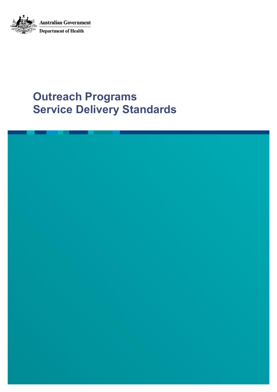

# **Outreach Programs Service Delivery Standards**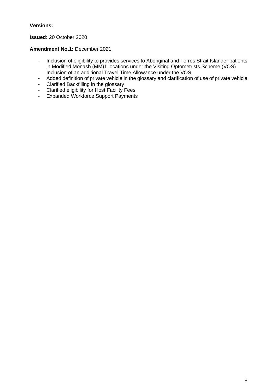#### **Versions:**

#### **Issued:** 20 October 2020

#### **Amendment No.1:** December 2021

- Inclusion of eligibility to provides services to Aboriginal and Torres Strait Islander patients in Modified Monash (MM)1 locations under the Visiting Optometrists Scheme (VOS)
- Inclusion of an additional Travel Time Allowance under the VOS
- Added definition of private vehicle in the glossary and clarification of use of private vehicle
- Clarified Backfilling in the glossary
- Clarified eligibility for Host Facility Fees
- Expanded Workforce Support Payments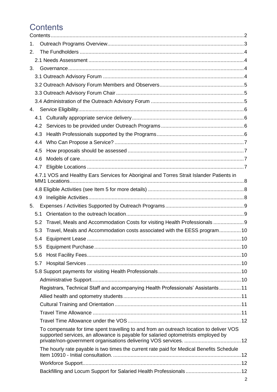# <span id="page-3-0"></span>**Contents**

| 1. |               |                                                                                                                                                                              |  |
|----|---------------|------------------------------------------------------------------------------------------------------------------------------------------------------------------------------|--|
| 2. |               |                                                                                                                                                                              |  |
|    |               |                                                                                                                                                                              |  |
| 3. |               |                                                                                                                                                                              |  |
|    |               |                                                                                                                                                                              |  |
|    |               |                                                                                                                                                                              |  |
|    |               |                                                                                                                                                                              |  |
|    |               |                                                                                                                                                                              |  |
| 4. |               |                                                                                                                                                                              |  |
|    | 4.1           |                                                                                                                                                                              |  |
|    | 4.2           |                                                                                                                                                                              |  |
|    | 4.3           |                                                                                                                                                                              |  |
|    | 4.4           |                                                                                                                                                                              |  |
|    | 4.5           |                                                                                                                                                                              |  |
|    | 4.6           |                                                                                                                                                                              |  |
|    | 4.7           |                                                                                                                                                                              |  |
|    |               | 4.7.1 VOS and Healthy Ears Services for Aboriginal and Torres Strait Islander Patients in                                                                                    |  |
|    |               |                                                                                                                                                                              |  |
|    |               |                                                                                                                                                                              |  |
| 5. |               |                                                                                                                                                                              |  |
|    | 5.1           |                                                                                                                                                                              |  |
|    | 5.2           | Travel, Meals and Accommodation Costs for visiting Health Professionals 9                                                                                                    |  |
|    | 5.3           | Travel, Meals and Accommodation costs associated with the EESS program10                                                                                                     |  |
|    | 5.4           |                                                                                                                                                                              |  |
|    | $5.5^{\circ}$ |                                                                                                                                                                              |  |
|    | 5.6           |                                                                                                                                                                              |  |
|    | 5.7           |                                                                                                                                                                              |  |
|    |               |                                                                                                                                                                              |  |
|    |               |                                                                                                                                                                              |  |
|    |               | Registrars, Technical Staff and accompanying Health Professionals' Assistants11                                                                                              |  |
|    |               |                                                                                                                                                                              |  |
|    |               |                                                                                                                                                                              |  |
|    |               |                                                                                                                                                                              |  |
|    |               |                                                                                                                                                                              |  |
|    |               | To compensate for time spent travelling to and from an outreach location to deliver VOS<br>supported services, an allowance is payable for salaried optometrists employed by |  |
|    |               | The hourly rate payable is two times the current rate paid for Medical Benefits Schedule                                                                                     |  |
|    |               |                                                                                                                                                                              |  |
|    |               |                                                                                                                                                                              |  |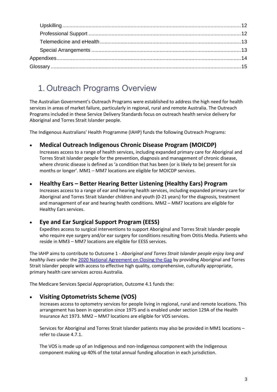# <span id="page-4-0"></span>1. Outreach Programs Overview

The Australian Government's Outreach Programs were established to address the high need for health services in areas of market failure, particularly in regional, rural and remote Australia. The Outreach Programs included in these Service Delivery Standards focus on outreach health service delivery for Aboriginal and Torres Strait Islander people.

The Indigenous Australians' Health Programme (IAHP) funds the following Outreach Programs:

• **Medical Outreach Indigenous Chronic Disease Program (MOICDP)**

Increases access to a range of health services, including expanded primary care for Aboriginal and Torres Strait Islander people for the prevention, diagnosis and management of chronic disease, where chronic disease is defined as 'a condition that has been (or is likely to be) present for six months or longer'. MM1 – MM7 locations are eligible for MOICDP services.

#### • **Healthy Ears – Better Hearing Better Listening (Healthy Ears) Program**

Increases access to a range of ear and hearing health services, including expanded primary care for Aboriginal and Torres Strait Islander children and youth (0-21 years) for the diagnosis, treatment and management of ear and hearing health conditions. MM2 – MM7 locations are eligible for Healthy Ears services.

#### • **Eye and Ear Surgical Support Program (EESS)**

Expedites access to surgical interventions to support Aboriginal and Torres Strait Islander people who require eye surgery and/or ear surgery for conditions resulting from Otitis Media. Patients who reside in MM3 – MM7 locations are eligible for EESS services.

The IAHP aims to contribute to Outcome 1 - *Aboriginal and Torres Strait Islander people enjoy long and healthy lives* under the [2020 National Agreement on Closing the Gap](https://www.closingthegap.gov.au/national-agreement-closing-gap-glance) by providing Aboriginal and Torres Strait Islander people with access to effective high quality, comprehensive, culturally appropriate, primary health care services across Australia.

The Medicare Services Special Appropriation, Outcome 4.1 funds the:

#### • **Visiting Optometrists Scheme (VOS)**

Increases access to optometry services for people living in regional, rural and remote locations. This arrangement has been in operation since 1975 and is enabled under section 129A of the Health Insurance Act 1973. MM2 – MM7 locations are eligible for VOS services.

Services for Aboriginal and Torres Strait Islander patients may also be provided in MM1 locations – refer to clause 4.7.1.

The VOS is made up of an Indigenous and non-Indigenous component with the Indigenous component making up 40% of the total annual funding allocation in each jurisdiction.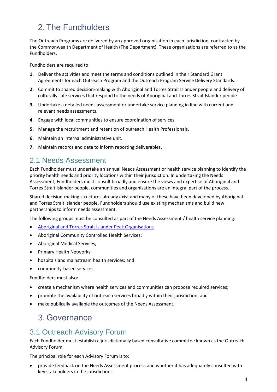# <span id="page-5-0"></span>2. The Fundholders

The Outreach Programs are delivered by an approved organisation in each jurisdiction, contracted by the Commonwealth Department of Health (The Department). These organisations are referred to as the Fundholders.

Fundholders are required to:

- **1.** Deliver the activities and meet the terms and conditions outlined in their Standard Grant Agreements for each Outreach Program and the Outreach Program Service Delivery Standards.
- **2.** Commit to shared decision-making with Aboriginal and Torres Strait Islander people and delivery of culturally safe services that respond to the needs of Aboriginal and Torres Strait Islander people.
- **3.** Undertake a detailed needs assessment or undertake service planning in line with current and relevant needs assessments.
- **4.** Engage with local communities to ensure coordination of services.
- **5.** Manage the recruitment and retention of outreach Health Professionals.
- **6.** Maintain an internal administrative unit.
- **7.** Maintain records and data to inform reporting deliverables.

### <span id="page-5-1"></span>2.1 Needs Assessment

Each Fundholder must undertake an annual Needs Assessment or health service planning to identify the priority health needs and priority locations within their jurisdiction. In undertaking the Needs Assessment, Fundholders must consult broadly and ensure the views and expertise of Aboriginal and Torres Strait Islander people, communities and organisations are an integral part of the process.

Shared decision-making structures already exist and many of these have been developed by Aboriginal and Torres Strait Islander people. Fundholders should use existing mechanisms and build new partnerships to inform needs assessment.

The following groups must be consulted as part of the Needs Assessment / health service planning:

- [Aboriginal and Torres Strait Islander Peak Organisations](https://www.naccho.org.au/about/naccho-affiliates/)
- Aboriginal Community Controlled Health Services;
- Aboriginal Medical Services;
- Primary Health Networks;
- hospitals and mainstream health services; and
- community-based services.

Fundholders must also:

- create a mechanism where health services and communities can propose required services;
- promote the availability of outreach services broadly within their jurisdiction; and
- <span id="page-5-2"></span>• make publically available the outcomes of the Needs Assessment.

# 3. Governance

## <span id="page-5-3"></span>3.1 Outreach Advisory Forum

Each Fundholder must establish a jurisdictionally based consultative committee known as the Outreach Advisory Forum.

The principal role for each Advisory Forum is to:

• provide feedback on the Needs Assessment process and whether it has adequately consulted with key stakeholders in the jurisdiction;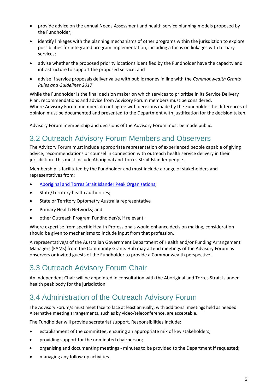- provide advice on the annual Needs Assessment and health service planning models proposed by the Fundholder;
- identify linkages with the planning mechanisms of other programs within the jurisdiction to explore possibilities for integrated program implementation, including a focus on linkages with tertiary services;
- advise whether the proposed priority locations identified by the Fundholder have the capacity and infrastructure to support the proposed service; and
- advise if service proposals deliver value with public money in line with the *Commonwealth Grants Rules and Guidelines 2017*.

While the Fundholder is the final decision maker on which services to prioritise in its Service Delivery Plan, recommendations and advice from Advisory Forum members must be considered. Where Advisory Forum members do not agree with decisions made by the Fundholder the differences of opinion must be documented and presented to the Department with justification for the decision taken.

<span id="page-6-0"></span>Advisory Forum membership and decisions of the Advisory Forum must be made public.

### 3.2 Outreach Advisory Forum Members and Observers

The Advisory Forum must include appropriate representation of experienced people capable of giving advice, recommendations or counsel in connection with outreach health service delivery in their jurisdiction. This must include Aboriginal and Torres Strait Islander people.

Membership is facilitated by the Fundholder and must include a range of stakeholders and representatives from:

- [Aboriginal and Torres Strait Islander Peak Organisations;](https://www.naccho.org.au/about/naccho-affiliates/)
- State/Territory health authorities;
- State or Territory Optometry Australia representative
- Primary Health Networks; and
- other Outreach Program Fundholder/s, if relevant.

Where expertise from specific Health Professionals would enhance decision making, consideration should be given to mechanisms to include input from that profession.

A representative/s of the Australian Government Department of Health and/or Funding Arrangement Managers (FAMs) from the Community Grants Hub may attend meetings of the Advisory Forum as observers or invited guests of the Fundholder to provide a Commonwealth perspective.

# <span id="page-6-1"></span>3.3 Outreach Advisory Forum Chair

An independent Chair will be appointed in consultation with the Aboriginal and Torres Strait Islander health peak body for the jurisdiction.

## <span id="page-6-2"></span>3.4 Administration of the Outreach Advisory Forum

The Advisory Forum/s must meet face to face at least annually, with additional meetings held as needed. Alternative meeting arrangements, such as by video/teleconference, are acceptable.

The Fundholder will provide secretariat support. Responsibilities include:

- establishment of the committee, ensuring an appropriate mix of key stakeholders;
- providing support for the nominated chairperson;
- organising and documenting meetings minutes to be provided to the Department if requested;
- managing any follow up activities.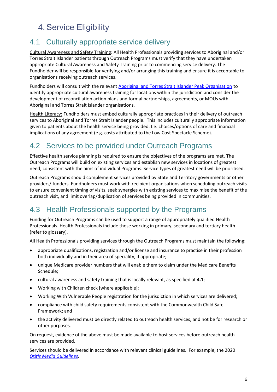# <span id="page-7-0"></span>4. Service Eligibility

# <span id="page-7-1"></span>4.1 Culturally appropriate service delivery

Cultural Awareness and Safety Training: All Health Professionals providing services to Aboriginal and/or Torres Strait Islander patients through Outreach Programs must verify that they have undertaken appropriate Cultural Awareness and Safety Training prior to commencing service delivery. The Fundholder will be responsible for verifying and/or arranging this training and ensure it is acceptable to organisations receiving outreach services.

Fundholders will consult with the relevant [Aboriginal and Torres Strait Islander Peak Organisation](https://www.naccho.org.au/about/naccho-affiliates/) to identify appropriate cultural awareness training for locations within the jurisdiction and consider the development of reconciliation action plans and formal partnerships, agreements, or MOUs with Aboriginal and Torres Strait Islander organisations.

Health Literacy: Fundholders must embed culturally appropriate practices in their delivery of outreach services to Aboriginal and Torres Strait Islander people. This includes culturally appropriate information given to patients about the health service being provided. I.e. choices/options of care and financial implications of any agreement (e.g. costs attributed to the Low Cost Spectacle Scheme).

# <span id="page-7-2"></span>4.2 Services to be provided under Outreach Programs

Effective health service planning is required to ensure the objectives of the programs are met. The Outreach Programs will build on existing services and establish new services in locations of greatest need, consistent with the aims of individual Programs. Service types of greatest need will be prioritised.

Outreach Programs should complement services provided by State and Territory governments or other providers/ funders. Fundholders must work with recipient organisations when scheduling outreach visits to ensure convenient timing of visits, seek synergies with existing services to maximise the benefit of the outreach visit, and limit overlap/duplication of services being provided in communities.

## <span id="page-7-3"></span>4.3 Health Professionals supported by the Programs

Funding for Outreach Programs can be used to support a range of appropriately qualified Health Professionals. Health Professionals include those working in primary, secondary and tertiary health (refer to glossary).

All Health Professionals providing services through the Outreach Programs must maintain the following:

- appropriate qualifications, registration and/or license and insurance to practise in their profession both individually and in their area of speciality, if appropriate;
- unique Medicare provider numbers that will enable them to claim under the Medicare Benefits Schedule;
- cultural awareness and safety training that is locally relevant, as specified at **4.1**;
- Working with Children check [where applicable];
- Working With Vulnerable People registration for the jurisdiction in which services are delivered;
- compliance with child safety requirements consistent with the Commonwealth Child Safe Framework; and
- the activity delivered must be directly related to outreach health services, and not be for research or other purposes.

On request, evidence of the above must be made available to host services before outreach health services are provided.

Services should be delivered in accordance with relevant clinical guidelines. For example, the 2020 *O*ti*[tis Media Guidelines.](http://otitismediaguidelines.com/draft/#/tabs-page/g-u-i-d-e-l-i-n-e-s/guidelines-main)*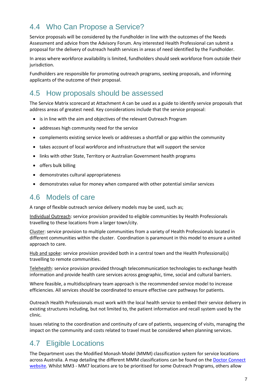# <span id="page-8-0"></span>4.4 Who Can Propose a Service?

Service proposals will be considered by the Fundholder in line with the outcomes of the Needs Assessment and advice from the Advisory Forum. Any interested Health Professional can submit a proposal for the delivery of outreach health services in areas of need identified by the Fundholder.

In areas where workforce availability is limited, fundholders should seek workforce from outside their jurisdiction.

Fundholders are responsible for promoting outreach programs, seeking proposals, and informing applicants of the outcome of their proposal.

### <span id="page-8-1"></span>4.5 How proposals should be assessed

The Service Matrix scorecard at Attachment A can be used as a guide to identify service proposals that address areas of greatest need. Key considerations include that the service proposal:

- is in line with the aim and objectives of the relevant Outreach Program
- addresses high community need for the service
- complements existing service levels or addresses a shortfall or gap within the community
- takes account of local workforce and infrastructure that will support the service
- links with other State, Territory or Australian Government health programs
- offers bulk billing
- demonstrates cultural appropriateness
- demonstrates value for money when compared with other potential similar services

### <span id="page-8-2"></span>4.6 Models of care

A range of flexible outreach service delivery models may be used, such as;

Individual Outreach: service provision provided to eligible communities by Health Professionals travelling to these locations from a larger town/city.

Cluster: service provision to multiple communities from a variety of Health Professionals located in different communities within the cluster. Coordination is paramount in this model to ensure a united approach to care.

Hub and spoke: service provision provided both in a central town and the Health Professional(s) travelling to remote communities.

Telehealth: service provision provided through telecommunication technologies to exchange health information and provide health care services across geographic, time, social and cultural barriers.

Where feasible, a multidisciplinary team approach is the recommended service model to increase efficiencies. All services should be coordinated to ensure effective care pathways for patients.

Outreach Health Professionals must work with the local health service to embed their service delivery in existing structures including, but not limited to, the patient information and recall system used by the clinic.

Issues relating to the coordination and continuity of care of patients, sequencing of visits, managing the impact on the community and costs related to travel must be considered when planning services.

## <span id="page-8-3"></span>4.7 Eligible Locations

The Department uses the Modified Monash Model (MMM) classification system for service locations across Australia. A map detailing the different MMM classifications can be found on the [Doctor Connect](http://www.doctorconnect.gov.au/locator)  [website](http://www.doctorconnect.gov.au/locator)*.* Whilst MM3 - MM7 locations are to be prioritised for some Outreach Programs, others allow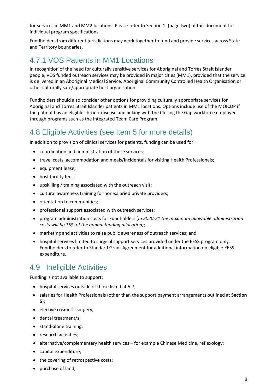for services in MM1 and MM2 locations. Please refer to Section 1. (page two) of this document for individual program specifications.

Fundholders from different jurisdictions may work together to fund and provide services across State and Territory boundaries.

### <span id="page-9-0"></span>4.7.1 VOS Patients in MM1 Locations

In recognition of the need for culturally sensitive services for Aboriginal and Torres Strait Islander people, VOS funded outreach services may be provided in major cities (MM1), provided that the service is delivered in an Aboriginal Medical Service, Aboriginal Community Controlled Health Organisation or other culturally safe/appropriate host organisation.

Fundholders should also consider other options for providing culturally appropriate services for Aboriginal and Torres Strait Islander patients in MM1 locations. Options include use of the MOICDP if the patient has an eligible chronic disease and linking with the Closing the Gap workforce employed through programs such as the Integrated Team Care Program.

## <span id="page-9-1"></span>4.8 Eligible Activities (see Item 5 for more details)

In addition to provision of clinical services for patients, funding can be used for:

- coordination and administration of these services;
- travel costs, accommodation and meals/incidentals for visiting Health Professionals;
- equipment lease;
- host facility fees;
- upskilling / training associated with the outreach visit;
- cultural awareness training for non-salaried private providers;
- orientation to communities;
- professional support associated with outreach services;
- program administration costs for Fundholders (*In 2020-21 the maximum allowable administration costs will be 15% of the annual funding allocation)*;
- marketing and activities to raise public awareness of outreach services; and
- hospital services limited to surgical support services provided under the EESS program only. Fundholders to refer to Standard Grant Agreement for additional information on eligible EESS expenditure.

## <span id="page-9-2"></span>4.9 Ineligible Activities

Funding is not available to support:

- hospital services outside of those listed at 5.7;
- salaries for Health Professionals (other than the support payment arrangements outlined at **Section 5**);
- elective cosmetic surgery;
- dental treatment/s;
- stand-alone training;
- research activities;
- alternative/complementary health services for example Chinese Medicine, reflexology;
- capital expenditure;
- the covering of retrospective costs;
- purchase of land;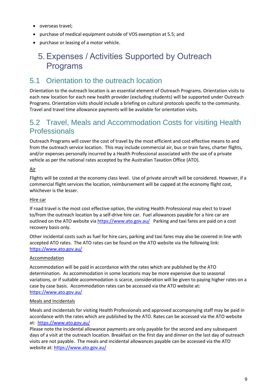- overseas travel;
- purchase of medical equipment outside of VOS exemption at 5.5; and
- <span id="page-10-0"></span>• purchase or leasing of a motor vehicle.

# 5. Expenses / Activities Supported by Outreach Programs

## <span id="page-10-1"></span>5.1 Orientation to the outreach location

Orientation to the outreach location is an essential element of Outreach Programs. Orientation visits to each new location for each new health provider (excluding students) will be supported under Outreach Programs. Orientation visits should include a briefing on cultural protocols specific to the community. Travel and travel time allowance payments will be available for orientation visits.

### <span id="page-10-2"></span>5.2 Travel, Meals and Accommodation Costs for visiting Health **Professionals**

Outreach Programs will cover the cost of travel by the most efficient and cost effective means to and from the outreach service location. This may include commercial air, bus or train fares, charter flights, and/or expenses personally incurred by a Health Professional associated with the use of a private vehicle as per the national rates accepted by the Australian Taxation Office (ATO).

#### Air

Flights will be costed at the economy class level. Use of private aircraft will be considered. However, if a commercial flight services the location, reimbursement will be capped at the economy flight cost, whichever is the lesser.

#### Hire car

If road travel is the most cost effective option, the visiting Health Professional may elect to travel to/from the outreach location by a self-drive hire car. Fuel allowances payable for a hire car are outlined on the ATO website vi[a https://www.ato.gov.au/](https://www.ato.gov.au/) Parking and taxi fares are paid on a cost recovery basis only.

Other incidental costs such as fuel for hire cars, parking and taxi fares may also be covered in line with accepted ATO rates. The ATO rates can be found on the ATO website via the following link: <https://www.ato.gov.au/>

#### Accommodation

Accommodation will be paid in accordance with the rates which are published by the ATO determination. As accommodation in some locations may be more expensive due to seasonal variations, or if suitable accommodation is scarce, consideration will be given to paying higher rates on a case by case basis. Accommodation rates can be accessed via the ATO website at: <https://www.ato.gov.au/>

#### Meals and Incidentals

Meals and incidentals for visiting Health Professionals and approved accompanying staff may be paid in accordance with the rates which are published by the ATO. Rates can be accessed via the ATO website at:<https://www.ato.gov.au/>

Please note the incidental allowance payments are only payable for the second and any subsequent days of a visit at the outreach location. Breakfast on the first day and dinner on the last day of outreach visits are not payable. The meals and incidental allowances payable can be accessed via the ATO website at:<https://www.ato.gov.au/>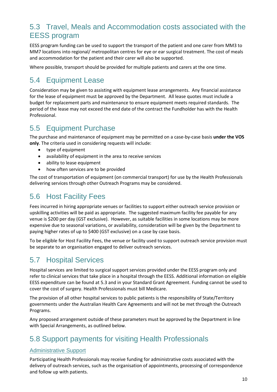# <span id="page-11-0"></span>5.3 Travel, Meals and Accommodation costs associated with the EESS program

EESS program funding can be used to support the transport of the patient and one carer from MM3 to MM7 locations into regional/ metropolitan centres for eye or ear surgical treatment. The cost of meals and accommodation for the patient and their carer will also be supported.

Where possible, transport should be provided for multiple patients and carers at the one time.

# <span id="page-11-1"></span>5.4 Equipment Lease

Consideration may be given to assisting with equipment lease arrangements. Any financial assistance for the lease of equipment must be approved by the Department. All lease quotes must include a budget for replacement parts and maintenance to ensure equipment meets required standards. The period of the lease may not exceed the end date of the contract the Fundholder has with the Health Professional.

# <span id="page-11-2"></span>5.5 Equipment Purchase

The purchase and maintenance of equipment may be permitted on a case-by-case basis **under the VOS only**. The criteria used in considering requests will include:

- type of equipment
- availability of equipment in the area to receive services
- ability to lease equipment
- how often services are to be provided

The cost of transportation of equipment (on commercial transport) for use by the Health Professionals delivering services through other Outreach Programs may be considered.

# <span id="page-11-3"></span>5.6 Host Facility Fees

Fees incurred in hiring appropriate venues or facilities to support either outreach service provision or upskilling activities will be paid as appropriate. The suggested maximum facility fee payable for any venue is \$200 per day (GST exclusive). However, as suitable facilities in some locations may be more expensive due to seasonal variations, or availability, consideration will be given by the Department to paying higher rates of up to \$400 (GST exclusive) on a case by case basis.

To be eligible for Host Facility Fees, the venue or facility used to support outreach service provision must be separate to an organisation engaged to deliver outreach services.

# <span id="page-11-4"></span>5.7 Hospital Services

Hospital services are limited to surgical support services provided under the EESS program only and refer to clinical services that take place in a hospital through the EESS. Additional information on eligible EESS expenditure can be found at 5.3 and in your Standard Grant Agreement. Funding cannot be used to cover the cost of surgery. Health Professionals must bill Medicare.

The provision of all other hospital services to public patients is the responsibility of State/Territory governments under the Australian Health Care Agreements and will not be met through the Outreach Programs.

Any proposed arrangement outside of these parameters must be approved by the Department in line with Special Arrangements, as outlined below.

## <span id="page-11-5"></span>5.8 Support payments for visiting Health Professionals

#### <span id="page-11-6"></span>Administrative Support

Participating Health Professionals may receive funding for administrative costs associated with the delivery of outreach services, such as the organisation of appointments, processing of correspondence and follow up with patients.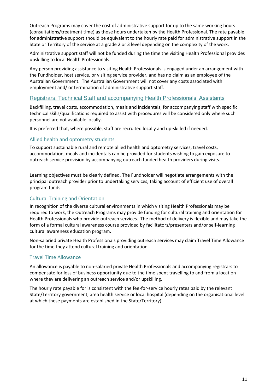Outreach Programs may cover the cost of administrative support for up to the same working hours (consultations/treatment time) as those hours undertaken by the Health Professional. The rate payable for administrative support should be equivalent to the hourly rate paid for administrative support in the State or Territory of the service at a grade 2 or 3 level depending on the complexity of the work.

Administrative support staff will not be funded during the time the visiting Health Professional provides upskilling to local Health Professionals.

Any person providing assistance to visiting Health Professionals is engaged under an arrangement with the Fundholder, host service, or visiting service provider, and has no claim as an employee of the Australian Government. The Australian Government will not cover any costs associated with employment and/ or termination of administrative support staff.

#### <span id="page-12-0"></span>Registrars, Technical Staff and accompanying Health Professionals' Assistants

Backfilling, travel costs, accommodation, meals and incidentals, for accompanying staff with specific technical skills/qualifications required to assist with procedures will be considered only where such personnel are not available locally.

It is preferred that, where possible, staff are recruited locally and up-skilled if needed.

#### <span id="page-12-1"></span>Allied health and optometry students

To support sustainable rural and remote allied health and optometry services, travel costs, accommodation, meals and incidentals can be provided for students wishing to gain exposure to outreach service provision by accompanying outreach funded health providers during visits.

Learning objectives must be clearly defined. The Fundholder will negotiate arrangements with the principal outreach provider prior to undertaking services, taking account of efficient use of overall program funds.

#### <span id="page-12-2"></span>Cultural Training and Orientation

In recognition of the diverse cultural environments in which visiting Health Professionals may be required to work, the Outreach Programs may provide funding for cultural training and orientation for Health Professionals who provide outreach services. The method of delivery is flexible and may take the form of a formal cultural awareness course provided by facilitators/presenters and/or self-learning cultural awareness education program.

Non-salaried private Health Professionals providing outreach services may claim Travel Time Allowance for the time they attend cultural training and orientation.

#### <span id="page-12-3"></span>Travel Time Allowance

An allowance is payable to non-salaried private Health Professionals and accompanying registrars to compensate for loss of business opportunity due to the time spent travelling to and from a location where they are delivering an outreach service and/or upskilling.

The hourly rate payable for is consistent with the fee-for-service hourly rates paid by the relevant State/Territory government, area health service or local hospital (depending on the organisational level at which these payments are established in the State/Territory).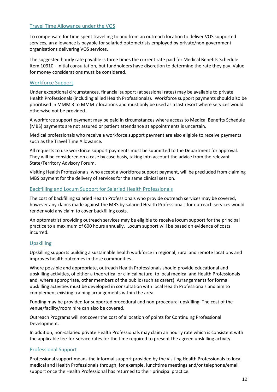#### <span id="page-13-0"></span>Travel Time Allowance under the VOS

<span id="page-13-1"></span>To compensate for time spent travelling to and from an outreach location to deliver VOS supported services, an allowance is payable for salaried optometrists employed by private/non-government organisations delivering VOS services.

<span id="page-13-2"></span>The suggested hourly rate payable is three times the current rate paid for Medical Benefits Schedule Item 10910 - Initial consultation, but fundholders have discretion to determine the rate they pay. Value for money considerations must be considered.

#### <span id="page-13-3"></span>Workforce Support

Under exceptional circumstances, financial support (at sessional rates) may be available to private Health Professionals (including allied Health Professionals). Workforce support payments should also be prioritised in MMM 3 to MMM 7 locations and must only be used as a last resort where services would otherwise not be provided.

A workforce support payment may be paid in circumstances where access to Medical Benefits Schedule (MBS) payments are not assured or patient attendance at appointments is uncertain.

Medical professionals who receive a workforce support payment are also eligible to receive payments such as the Travel Time Allowance.

All requests to use workforce support payments must be submitted to the Department for approval. They will be considered on a case by case basis, taking into account the advice from the relevant State/Territory Advisory Forum.

Visiting Health Professionals, who accept a workforce support payment, will be precluded from claiming MBS payment for the delivery of services for the same clinical session.

#### <span id="page-13-4"></span>Backfilling and Locum Support for Salaried Health Professionals

The cost of backfilling salaried Health Professionals who provide outreach services may be covered, however any claims made against the MBS by salaried Health Professionals for outreach services would render void any claim to cover backfilling costs.

An optometrist providing outreach services may be eligible to receive locum support for the principal practice to a maximum of 600 hours annually. Locum support will be based on evidence of costs incurred.

#### <span id="page-13-5"></span>Upskilling

Upskilling supports building a sustainable health workforce in regional, rural and remote locations and improves health outcomes in those communities.

Where possible and appropriate, outreach Health Professionals should provide educational and upskilling activities, of either a theoretical or clinical nature, to local medical and Health Professionals and, where appropriate, other members of the public (such as carers). Arrangements for formal upskilling activities must be developed in consultation with local Health Professionals and aim to complement existing training arrangements within the area.

Funding may be provided for supported procedural and non-procedural upskilling. The cost of the venue/facility/room hire can also be covered.

Outreach Programs will not cover the cost of allocation of points for Continuing Professional Development.

In addition, non-salaried private Health Professionals may claim an hourly rate which is consistent with the applicable fee-for-service rates for the time required to present the agreed upskilling activity.

#### <span id="page-13-6"></span>Professional Support

Professional support means the informal support provided by the visiting Health Professionals to local medical and Health Professionals through, for example, lunchtime meetings and/or telephone/email support once the Health Professional has returned to their principal practice.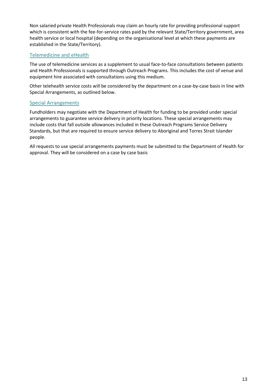Non salaried private Health Professionals may claim an hourly rate for providing professional support which is consistent with the fee-for-service rates paid by the relevant State/Territory government, area health service or local hospital (depending on the organisational level at which these payments are established in the State/Territory).

#### <span id="page-14-0"></span>Telemedicine and eHealth

The use of telemedicine services as a supplement to usual face-to-face consultations between patients and Health Professionals is supported through Outreach Programs. This includes the cost of venue and equipment hire associated with consultations using this medium.

Other telehealth service costs will be considered by the department on a case-by-case basis in line with Special Arrangements, as outlined below.

#### <span id="page-14-1"></span>Special Arrangements

Fundholders may negotiate with the Department of Health for funding to be provided under special arrangements to guarantee service delivery in priority locations. These special arrangements may include costs that fall outside allowances included in these Outreach Programs Service Delivery Standards, but that are required to ensure service delivery to Aboriginal and Torres Strait Islander people.

All requests to use special arrangements payments must be submitted to the Department of Health for approval. They will be considered on a case by case basis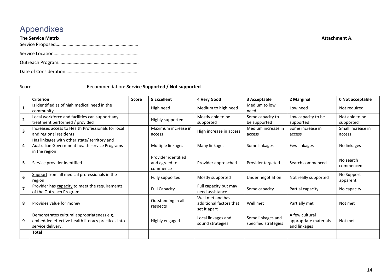# Appendixes

| <b>The Service Matrix</b> | Attachment A. |
|---------------------------|---------------|
|                           |               |
|                           |               |
|                           |               |
|                           |               |

#### Score ……………….. Recommendation: **Service Supported / Not supported**

<span id="page-15-0"></span>

|                         | <b>Criterion</b>                                                                                                     | <b>Score</b> | <b>5 Excellent</b>                               | 4 Very Good                                                 | 3 Acceptable                              | 2 Marginal                                              | 0 Not acceptable            |
|-------------------------|----------------------------------------------------------------------------------------------------------------------|--------------|--------------------------------------------------|-------------------------------------------------------------|-------------------------------------------|---------------------------------------------------------|-----------------------------|
|                         | Is identified as of high medical need in the<br>community                                                            |              | High need                                        | Medium to high need                                         | Medium to low<br>need                     | Low need                                                | Not required                |
| $\overline{2}$          | Local workforce and facilities can support any<br>treatment performed / provided                                     |              | Highly supported                                 | Mostly able to be<br>supported                              | Some capacity to<br>be supported          | Low capacity to be<br>supported                         | Not able to be<br>supported |
|                         | Increases access to Health Professionals for local<br>and regional residents                                         |              | Maximum increase in<br>access                    | High increase in access                                     | Medium increase in<br>access              | Some increase in<br>access                              | Small increase in<br>access |
| 4                       | Has linkages with other state/ territory and<br>Australian Government health service Programs<br>in the region       |              | Multiple linkages                                | Many linkages                                               | Some linkages                             | Few linkages                                            | No linkages                 |
| 5.                      | Service provider identified                                                                                          |              | Provider identified<br>and agreed to<br>commence | Provider approached                                         | Provider targeted                         | Search commenced                                        | No search<br>commenced      |
| 6                       | Support from all medical professionals in the<br>region                                                              |              | Fully supported                                  | Mostly supported                                            | Under negotiation                         | Not really supported                                    | No Support<br>apparent      |
| $\overline{\mathbf{z}}$ | Provider has capacity to meet the requirements<br>of the Outreach Program                                            |              | <b>Full Capacity</b>                             | Full capacity but may<br>need assistance                    | Some capacity                             | Partial capacity                                        | No capacity                 |
| 8                       | Provides value for money                                                                                             |              | Outstanding in all<br>respects                   | Well met and has<br>additional factors that<br>set it apart | Well met                                  | Partially met                                           | Not met                     |
|                         | Demonstrates cultural appropriateness e.g.<br>embedded effective health literacy practices into<br>service delivery. |              | Highly engaged                                   | Local linkages and<br>sound strategies                      | Some linkages and<br>specified strategies | A few cultural<br>appropriate materials<br>and linkages | Not met                     |
|                         | <b>Total</b>                                                                                                         |              |                                                  |                                                             |                                           |                                                         |                             |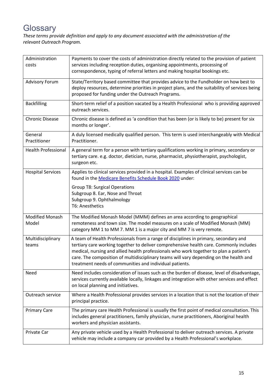# <span id="page-16-0"></span>**Glossary**

*These terms provide definition and apply to any document associated with the administration of the relevant Outreach Program.*

| Administration<br>costs         | Payments to cover the costs of administration directly related to the provision of patient<br>services including reception duties, organising appointments, processing of<br>correspondence, typing of referral letters and making hospital bookings etc.                                                                                                                                                                     |
|---------------------------------|-------------------------------------------------------------------------------------------------------------------------------------------------------------------------------------------------------------------------------------------------------------------------------------------------------------------------------------------------------------------------------------------------------------------------------|
| <b>Advisory Forum</b>           | State/Territory based committee that provides advice to the Fundholder on how best to<br>deploy resources, determine priorities in project plans, and the suitability of services being<br>proposed for funding under the Outreach Programs.                                                                                                                                                                                  |
| <b>Backfilling</b>              | Short-term relief of a position vacated by a Health Professional who is providing approved<br>outreach services.                                                                                                                                                                                                                                                                                                              |
| <b>Chronic Disease</b>          | Chronic disease is defined as 'a condition that has been (or is likely to be) present for six<br>months or longer'.                                                                                                                                                                                                                                                                                                           |
| General<br>Practitioner         | A duly licensed medically qualified person. This term is used interchangeably with Medical<br>Practitioner.                                                                                                                                                                                                                                                                                                                   |
| <b>Health Professional</b>      | A general term for a person with tertiary qualifications working in primary, secondary or<br>tertiary care. e.g. doctor, dietician, nurse, pharmacist, physiotherapist, psychologist,<br>surgeon etc.                                                                                                                                                                                                                         |
| <b>Hospital Services</b>        | Applies to clinical services provided in a hospital. Examples of clinical services can be<br>found in the Medicare Benefits Schedule Book 2020 under:                                                                                                                                                                                                                                                                         |
|                                 | <b>Group T8: Surgical Operations</b><br>Subgroup 8. Ear, Nose and Throat<br>Subgroup 9. Ophthalmology<br>T6: Anesthetics                                                                                                                                                                                                                                                                                                      |
| <b>Modified Monash</b><br>Model | The Modified Monash Model (MMM) defines an area according to geographical<br>remoteness and town size. The model measures on a scale of Modified Monash (MM)<br>category MM 1 to MM 7. MM 1 is a major city and MM 7 is very remote.                                                                                                                                                                                          |
| Multidisciplinary<br>teams      | A team of Health Professionals from a range of disciplines in primary, secondary and<br>tertiary care working together to deliver comprehensive health care. Commonly includes<br>medical, nursing and allied health professionals who work together to plan a patient's<br>care. The composition of multidisciplinary teams will vary depending on the health and<br>treatment needs of communities and individual patients. |
| Need                            | Need includes consideration of issues such as the burden of disease, level of disadvantage,<br>services currently available locally, linkages and integration with other services and effect<br>on local planning and initiatives.                                                                                                                                                                                            |
| Outreach service                | Where a Health Professional provides services in a location that is not the location of their<br>principal practice.                                                                                                                                                                                                                                                                                                          |
| <b>Primary Care</b>             | The primary care Health Professional is usually the first point of medical consultation. This<br>includes general practitioners, family physician, nurse practitioners, Aboriginal health<br>workers and physician assistants.                                                                                                                                                                                                |
| Private Car                     | Any private vehicle used by a Health Professional to deliver outreach services. A private<br>vehicle may include a company car provided by a Health Professional's workplace.                                                                                                                                                                                                                                                 |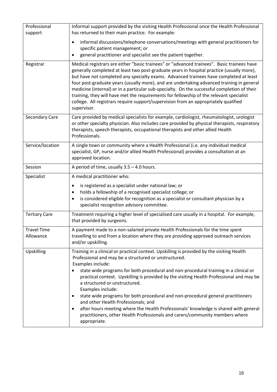| Professional         | Informal support provided by the visiting Health Professional once the Health Professional                                                                                                                                                                                        |
|----------------------|-----------------------------------------------------------------------------------------------------------------------------------------------------------------------------------------------------------------------------------------------------------------------------------|
| support              | has returned to their main practice. For example:                                                                                                                                                                                                                                 |
|                      | informal discussions/telephone conversations/meetings with general practitioners for<br>$\bullet$                                                                                                                                                                                 |
|                      | specific patient management; or                                                                                                                                                                                                                                                   |
|                      | general practitioner and specialist see the patient together.<br>$\bullet$                                                                                                                                                                                                        |
| Registrar            | Medical registrars are either "basic trainees" or "advanced trainees". Basic trainees have<br>generally completed at least two post-graduate years in hospital practice (usually more),                                                                                           |
|                      | but have not completed any specialty exams. Advanced trainees have completed at least<br>four post-graduate years (usually more), and are undertaking advanced training in general<br>medicine (internal) or in a particular sub-specialty. On the successful completion of their |
|                      | training, they will have met the requirements for fellowship of the relevant specialist<br>college. All registrars require support/supervision from an appropriately qualified                                                                                                    |
|                      | supervisor.                                                                                                                                                                                                                                                                       |
| Secondary Care       | Care provided by medical specialists for example, cardiologist, rheumatologist, urologist                                                                                                                                                                                         |
|                      | or other specialty physician. Also includes care provided by physical therapists, respiratory                                                                                                                                                                                     |
|                      | therapists, speech therapists, occupational therapists and other allied Health<br>Professionals.                                                                                                                                                                                  |
| Service/location     | A single town or community where a Health Professional (i.e. any individual medical                                                                                                                                                                                               |
|                      | specialist, GP, nurse and/or allied Health Professional) provides a consultation at an<br>approved location.                                                                                                                                                                      |
| Session              | A period of time, usually $3.5 - 4.0$ hours.                                                                                                                                                                                                                                      |
| Specialist           | A medical practitioner who:                                                                                                                                                                                                                                                       |
|                      | is registered as a specialist under national law; or<br>$\bullet$                                                                                                                                                                                                                 |
|                      | holds a fellowship of a recognised specialist college; or<br>$\bullet$<br>is considered eligible for recognition as a specialist or consultant physician by a<br>$\bullet$                                                                                                        |
|                      | specialist recognition advisory committee.                                                                                                                                                                                                                                        |
| <b>Tertiary Care</b> | Treatment requiring a higher level of specialised care usually in a hospital. For example,<br>that provided by surgeons.                                                                                                                                                          |
| <b>Travel Time</b>   | A payment made to a non-salaried private Health Professionals for the time spent                                                                                                                                                                                                  |
| Allowance            | travelling to and from a location where they are providing approved outreach services<br>and/or upskilling.                                                                                                                                                                       |
| <b>Upskilling</b>    | Training in a clinical or practical context. Upskilling is provided by the visiting Health<br>Professional and may be a structured or unstructured.                                                                                                                               |
|                      | Examples include:                                                                                                                                                                                                                                                                 |
|                      | state wide programs for both procedural and non-procedural training in a clinical or<br>$\bullet$<br>practical context. Upskilling is provided by the visiting Health Professional and may be<br>a structured or unstructured.<br>Examples include:                               |
|                      | state wide programs for both procedural and non-procedural general practitioners<br>$\bullet$                                                                                                                                                                                     |
|                      | and other Health Professionals; and                                                                                                                                                                                                                                               |
|                      | after hours meeting where the Health Professionals' knowledge is shared with general<br>٠                                                                                                                                                                                         |
|                      | practitioners, other Health Professionals and carers/community members where<br>appropriate.                                                                                                                                                                                      |